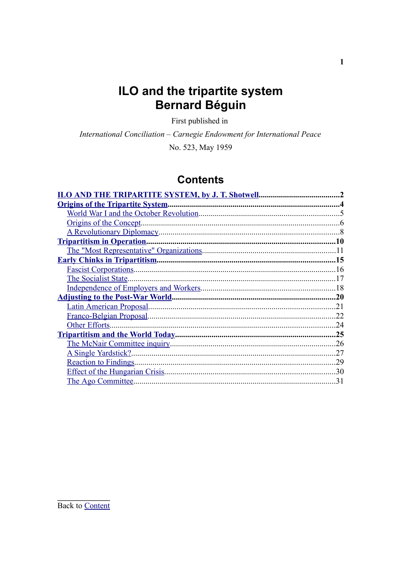# ILO and the tripartite system **Bernard Béguin**

First published in

International Conciliation - Carnegie Endowment for International Peace

No. 523, May 1959

# **Contents**

<span id="page-0-0"></span>

| ILO AND THE TRIPARTITE SYSTEM, by J. T. Shotwell. |     |
|---------------------------------------------------|-----|
| <b>Origins of the Tripartite System.</b>          |     |
|                                                   |     |
| Origins of the Concept.                           |     |
|                                                   |     |
| <b>Tripartitism in Operation.</b>                 | 10  |
|                                                   |     |
|                                                   | 15  |
|                                                   | 16  |
| The Socialist State.                              |     |
|                                                   | 18  |
|                                                   | .20 |
|                                                   | 21  |
|                                                   | .22 |
| Other Efforts.                                    | .24 |
|                                                   | .25 |
|                                                   | 26  |
| A Single Yardstick?                               | 27  |
| <b>Reaction to Findings.</b>                      | 29  |
| <b>Effect of the Hungarian Crisis.</b>            | 30  |
| The Ago Committee.                                | 31  |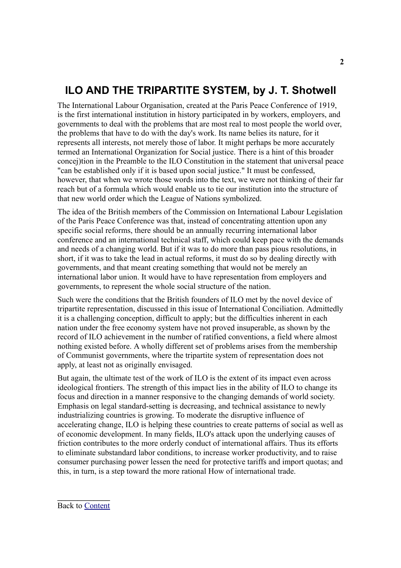# <span id="page-1-0"></span>**ILO AND THE TRIPARTITE SYSTEM, by J. T. Shotwell**

The International Labour Organisation, created at the Paris Peace Conference of 1919, is the first international institution in history participated in by workers, employers, and governments to deal with the problems that are most real to most people the world over, the problems that have to do with the day's work. Its name belies its nature, for it represents all interests, not merely those of labor. It might perhaps be more accurately termed an International Organization for Social justice. There is a hint of this broader concej)tion in the Preamble to the ILO Constitution in the statement that universal peace "can be established only if it is based upon social justice." It must be confessed, however, that when we wrote those words into the text, we were not thinking of their far reach but of a formula which would enable us to tie our institution into the structure of that new world order which the League of Nations symbolized.

The idea of the British members of the Commission on International Labour Legislation of the Paris Peace Conference was that, instead of concentrating attention upon any specific social reforms, there should be an annually recurring international labor conference and an international technical staff, which could keep pace with the demands and needs of a changing world. But if it was to do more than pass pious resolutions, in short, if it was to take the lead in actual reforms, it must do so by dealing directly with governments, and that meant creating something that would not be merely an international labor union. It would have to have representation from employers and governments, to represent the whole social structure of the nation.

Such were the conditions that the British founders of ILO met by the novel device of tripartite representation, discussed in this issue of International Conciliation. Admittedly it is a challenging conception, difficult to apply; but the difficulties inherent in each nation under the free economy system have not proved insuperable, as shown by the record of ILO achievement in the number of ratified conventions, a field where almost nothing existed before. A wholly different set of problems arises from the membership of Communist governments, where the tripartite system of representation does not apply, at least not as originally envisaged.

But again, the ultimate test of the work of ILO is the extent of its impact even across ideological frontiers. The strength of this impact lies in the ability of ILO to change its focus and direction in a manner responsive to the changing demands of world society. Emphasis on legal standard-setting is decreasing, and technical assistance to newly industrializing countries is growing. To moderate the disruptive influence of accelerating change, ILO is helping these countries to create patterns of social as well as of economic development. In many fields, ILO's attack upon the underlying causes of friction contributes to the more orderly conduct of international affairs. Thus its efforts to eliminate substandard labor conditions, to increase worker productivity, and to raise consumer purchasing power lessen the need for protective tariffs and import quotas; and this, in turn, is a step toward the more rational How of international trade.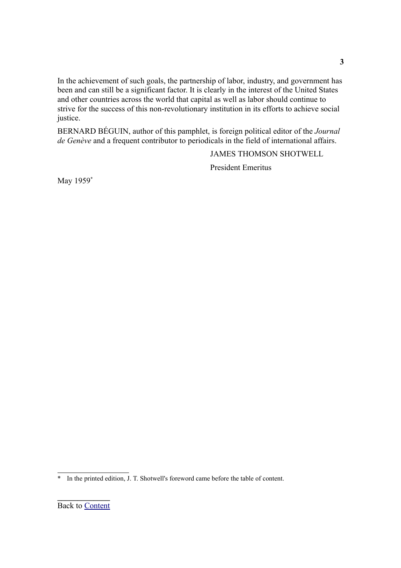In the achievement of such goals, the partnership of labor, industry, and government has been and can still be a significant factor. It is clearly in the interest of the United States and other countries across the world that capital as well as labor should continue to strive for the success of this non-revolutionary institution in its efforts to achieve social justice.

BERNARD BÉGUIN, author of this pamphlet, is foreign political editor of the *Journal de Genève* and a frequent contributor to periodicals in the field of international affairs.

JAMES THOMSON SHOTWELL

President Emeritus

May 1959<sup>[\\*](#page-2-0)</sup>

**3**

<span id="page-2-0"></span><sup>\*</sup> In the printed edition, J. T. Shotwell's foreword came before the table of content.

**\_\_\_\_\_\_\_\_\_\_\_\_\_** Back to [Content](#page-29-0)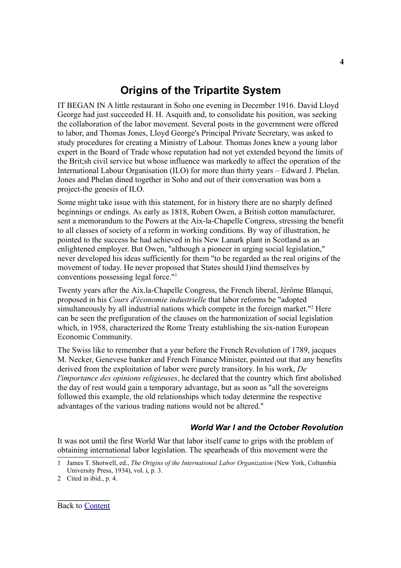## <span id="page-3-1"></span>**Origins of the Tripartite System**

IT BEGAN IN A little restaurant in Soho one evening in December 1916. David Lloyd George had just succeeded H. H. Asquith and, to consolidate his position, was seeking the collaboration of the labor movement. Several posts in the government were offered to labor, and Thomas Jones, Lloyd George's Principal Private Secretary, was asked to study procedures for creating a Ministry of Labour. Thomas Jones knew a young labor expert in the Board of Trade whose reputation had not yet extended beyond the limits of the Brit;sh civil service but whose influence was markedly to affect the operation of the International Labour Organisation (ILO) for more than thirty years – Edward J. Phelan. Jones and Phelan dined together in Soho and out of their conversation was born a project-the genesis of ILO.

Some might take issue with this statement, for in history there are no sharply defined beginnings or endings. As early as 1818, Robert Owen, a British cotton manufacturer, sent a memorandum to the Powers at the Aix-la-Chapelle Congress, stressing the benefit to all classes of society of a reform in working conditions. By way of illustration, he pointed to the success he had achieved in his New Lanark plant in Scotland as an enlightened employer. But Owen, "although a pioneer in urging social legislation," never developed his ideas sufficiently for them "to be regarded as the real origins of the movement of today. He never proposed that States should I)ind themselves by conventions possessing legal force." [1](#page-3-2)

Twenty years after the Aix.la-Chapelle Congress, the French liberal, Jérôme Blanqui, proposed in his *Cours d'économie industrielle* that labor reforms be "adopted simultaneously by all industrial nations which compete in the foreign market."<sup>[2](#page-3-3)</sup> Here can be seen the prefiguration of the clauses on the harmonization of social legislation which, in 1958, characterized the Rome Treaty establishing the six-nation European Economic Community.

The Swiss like to remember that a year before the French Revolution of 1789, jacques M. Necker, Genevese banker and French Finance Minister, pointed out that any benefits derived from the exploitation of labor were purely transitory. In his work, *De l'importance des opinions religieuses*, he declared that the country which first abolished the day of rest would gain a temporary advantage, but as soon as "all the sovereigns followed this example, the old relationships which today determine the respective advantages of the various trading nations would not be altered."

### <span id="page-3-0"></span>*World War I and the October Revolution*

It was not until the first World War that labor itself came to grips with the problem of obtaining international labor legislation. The spearheads of this movement were the

**4**

<span id="page-3-2"></span><sup>1</sup> James T. Shotwell, ed., *The Origins of the International Labor Organization* (New York, Coltumbia University Press, 1934), vol. i, p. 3.

<span id="page-3-3"></span><sup>2</sup> Cited in ibid., p. 4.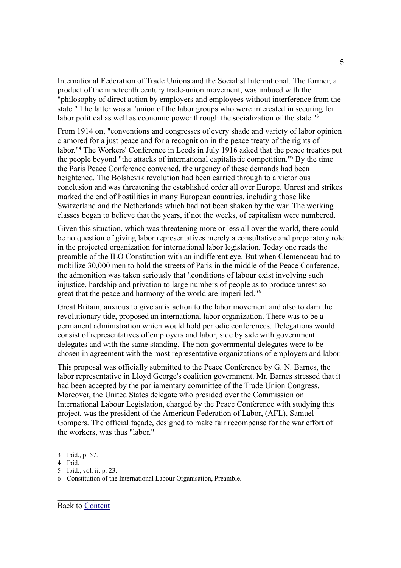International Federation of Trade Unions and the Socialist International. The former, a product of the nineteenth century trade-union movement, was imbued with the "philosophy of direct action by employers and employees without interference from the state." The latter was a "union of the labor groups who were interested in securing for labor political as well as economic power through the socialization of the state."<sup>[3](#page-4-0)</sup>

From 1914 on, "conventions and congresses of every shade and variety of labor opinion clamored for a just peace and for a recognition in the peace treaty of the rights of labor." [4](#page-4-1) The Workers' Conference in Leeds in July 1916 asked that the peace treaties put the people beyond "the attacks of international capitalistic competition." [5](#page-4-2) By the time the Paris Peace Conference convened, the urgency of these demands had been heightened. The Bolshevik revolution had been carried through to a victorious conclusion and was threatening the established order all over Europe. Unrest and strikes marked the end of hostilities in many European countries, including those like Switzerland and the Netherlands which had not been shaken by the war. The working classes began to believe that the years, if not the weeks, of capitalism were numbered.

Given this situation, which was threatening more or less all over the world, there could be no question of giving labor representatives merely a consultative and preparatory role in the projected organization for international labor legislation. Today one reads the preamble of the ILO Constitution with an indifferent eye. But when Clemenceau had to mobilize 30,000 men to hold the streets of Paris in the middle of the Peace Conference, the admonition was taken seriously that '.conditions of labour exist involving such injustice, hardship and privation to large numbers of people as to produce unrest so great that the peace and harmony of the world are imperilled." [6](#page-4-3)

Great Britain, anxious to give satisfaction to the labor movement and also to dam the revolutionary tide, proposed an international labor organization. There was to be a permanent administration which would hold periodic conferences. Delegations would consist of representatives of employers and labor, side by side with government delegates and with the same standing. The non-governmental delegates were to be chosen in agreement with the most representative organizations of employers and labor.

This proposal was officially submitted to the Peace Conference by G. N. Barnes, the labor representative in Lloyd George's coalition government. Mr. Barnes stressed that it had been accepted by the parliamentary committee of the Trade Union Congress. Moreover, the United States delegate who presided over the Commission on International Labour Legislation, charged by the Peace Conference with studying this project, was the president of the American Federation of Labor, (AFL), Samuel Gompers. The official façade, designed to make fair recompense for the war effort of the workers, was thus "labor."

<span id="page-4-0"></span><sup>3</sup> Ibid., p. 57.

<span id="page-4-1"></span><sup>4</sup> Ibid.

<span id="page-4-2"></span><sup>5</sup> Ibid., vol. ii, p. 23.

<span id="page-4-3"></span><sup>6</sup> Constitution of the International Labour Organisation, Preamble.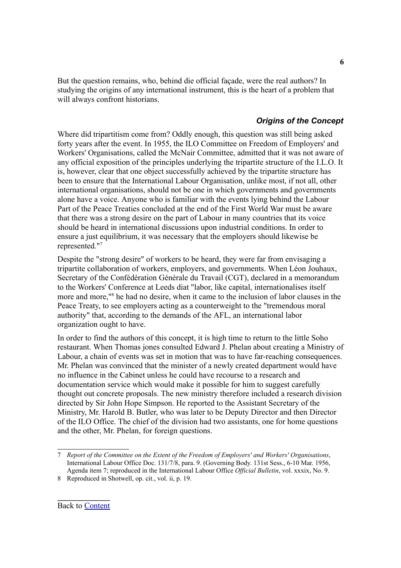But the question remains, who, behind die official façade, were the real authors? In studying the origins of any international instrument, this is the heart of a problem that will always confront historians.

### <span id="page-5-0"></span>*Origins of the Concept*

Where did tripartitism come from? Oddly enough, this question was still being asked forty years after the event. In 1955, the ILO Committee on Freedom of Employers' and Workers' Organisations, called the McNair Committee, admitted that it was not aware of any official exposition of the principles underlying the tripartite structure of the I.L.O. It is, however, clear that one object successfully achieved by the tripartite structure has been to ensure that the International Labour Organisation, unlike most, if not all, other international organisations, should not be one in which governments and governments alone have a voice. Anyone who is familiar with the events lying behind the Labour Part of the Peace Treaties concluded at the end of the First World War must be aware that there was a strong desire on the part of Labour in many countries that its voice should be heard in international discussions upon industrial conditions. In order to ensure a just equilibrium, it was necessary that the employers should likewise be represented." [7](#page-5-1)

Despite the "strong desire" of workers to be heard, they were far from envisaging a tripartite collaboration of workers, employers, and governments. When Léon Jouhaux, Secretary of the Confédération Générale du Travail (CGT), declared in a memorandum to the Workers' Conference at Leeds diat "labor, like capital, internationalises itself more and more," [8](#page-5-2) he had no desire, when it came to the inclusion of labor clauses in the Peace Treaty, to see employers acting as a counterweight to the "tremendous moral authority" that, according to the demands of the AFL, an international labor organization ought to have.

In order to find the authors of this concept, it is high time to return to the little Soho restaurant. When Thomas jones consulted Edward J. Phelan about creating a Ministry of Labour, a chain of events was set in motion that was to have far-reaching consequences. Mr. Phelan was convinced that the minister of a newly created department would have no influence in the Cabinet unless he could have recourse to a research and documentation service which would make it possible for him to suggest carefully thought out concrete proposals. The new ministry therefore included a research division directed by Sir John Hope Simpson. He reported to the Assistant Secretary of the Ministry, Mr. Harold B. Butler, who was later to be Deputy Director and then Director of the ILO Office. The chief of the division had two assistants, one for home questions and the other, Mr. Phelan, for foreign questions.

<span id="page-5-1"></span><sup>7</sup> *Report of the Committee on the Extent of the Freedom of Employers' and Workers' Organisations*, International Labour Office Doc. 131/7/8, para. 9. (Governing Body. 131st Sess., 6-10 Mar. 1956, Agenda item 7; reproduced in the International Labour Office *Official Bulletin*, vol. xxxix, No. 9.

<span id="page-5-2"></span><sup>8</sup> Reproduced in Shotwell, op. cit., vol. ii, p. 19.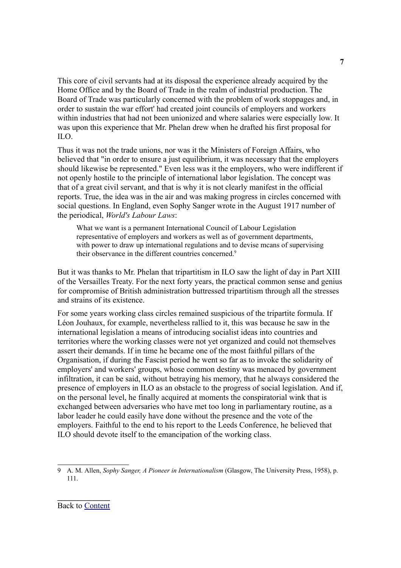This core of civil servants had at its disposal the experience already acquired by the Home Office and by the Board of Trade in the realm of industrial production. The Board of Trade was particularly concerned with the problem of work stoppages and, in order to sustain the war effort' had created joint councils of employers and workers within industries that had not been unionized and where salaries were especially low. It was upon this experience that Mr. Phelan drew when he drafted his first proposal for ILO.

Thus it was not the trade unions, nor was it the Ministers of Foreign Affairs, who believed that "in order to ensure a just equilibrium, it was necessary that the employers should likewise be represented." Even less was it the employers, who were indifferent if not openly hostile to the principle of international labor legislation. The concept was that of a great civil servant, and that is why it is not clearly manifest in the official reports. True, the idea was in the air and was making progress in circles concerned with social questions. In England, even Sophy Sanger wrote in the August 1917 number of the periodical, *World's Labour Laws*:

What we want is a permanent International Council of Labour Legislation representative of employers and workers as well as of government departments, with power to draw up international regulations and to devise mcans of supervising their observance in the different countries concerned.<sup>[9](#page-6-0)</sup>

But it was thanks to Mr. Phelan that tripartitism in ILO saw the light of day in Part XIII of the Versailles Treaty. For the next forty years, the practical common sense and genius for compromise of British administration buttressed tripartitism through all the stresses and strains of its existence.

For some years working class circles remained suspicious of the tripartite formula. If Léon Jouhaux, for example, nevertheless rallied to it, this was because he saw in the international legislation a means of introducing socialist ideas into countries and territories where the working classes were not yet organized and could not themselves assert their demands. If in time he became one of the most faithful pillars of the Organisation, if during the Fascist period he went so far as to invoke the solidarity of employers' and workers' groups, whose common destiny was menaced by government infiltration, it can be said, without betraying his memory, that he always considered the presence of employers in ILO as an obstacle to the progress of social legislation. And if, on the personal level, he finally acquired at moments the conspiratorial wink that is exchanged between adversaries who have met too long in parliamentary routine, as a labor leader he could easily have done without the presence and the vote of the employers. Faithful to the end to his report to the Leeds Conference, he believed that ILO should devote itself to the emancipation of the working class.

<span id="page-6-0"></span><sup>9</sup> A. M. Allen, *Sophy Sanger, A Pioneer in Internationalism* (Glasgow, The University Press, 1958), p. 111.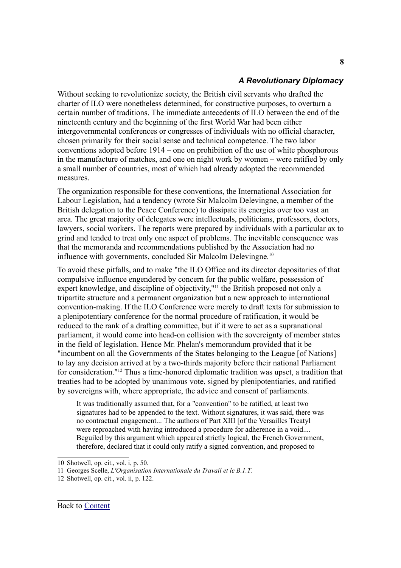### <span id="page-7-0"></span>*A Revolutionary Diplomacy*

Without seeking to revolutionize society, the British civil servants who drafted the charter of ILO were nonetheless determined, for constructive purposes, to overturn a certain number of traditions. The immediate antecedents of ILO between the end of the nineteenth century and the beginning of the first World War had been either intergovernmental conferences or congresses of individuals with no official character, chosen primarily for their social sense and technical competence. The two labor conventions adopted before 1914 – one on prohibition of the use of white phosphorous in the manufacture of matches, and one on night work by women – were ratified by only a small number of countries, most of which had already adopted the recommended measures.

The organization responsible for these conventions, the International Association for Labour Legislation, had a tendency (wrote Sir Malcolm Delevingne, a member of the British delegation to the Peace Conference) to dissipate its energies over too vast an area. The great majority of delegates were intellectuals, politicians, professors, doctors, lawyers, social workers. The reports were prepared by individuals with a particular ax to grind and tended to treat only one aspect of problems. The inevitable consequence was that the memoranda and recommendations published by the Association had no influence with governments, concluded Sir Malcolm Delevingne. [10](#page-7-1)

To avoid these pitfalls, and to make "the ILO Office and its director depositaries of that compulsive influence engendered by concern for the public welfare, possession of expert knowledge, and discipline of objectivity,"<sup>[11](#page-7-2)</sup> the British proposed not only a tripartite structure and a permanent organization but a new approach to international convention-making. If the ILO Conference were merely to draft texts for submission to a plenipotentiary conference for the normal procedure of ratification, it would be reduced to the rank of a drafting committee, but if it were to act as a supranational parliament, it would come into head-on collision with the sovereignty of member states in the field of legislation. Hence Mr. Phelan's memorandum provided that it be "incumbent on all the Governments of the States belonging to the League [of Nations] to lay any decision arrived at by a two-thirds majority before their national Parliament for consideration." [12](#page-7-3) Thus a time-honored diplomatic tradition was upset, a tradition that treaties had to be adopted by unanimous vote, signed by plenipotentiaries, and ratified by sovereigns with, where appropriate, the advice and consent of parliaments.

It was traditionally assumed that, for a "convention" to be ratified, at least two signatures had to be appended to the text. Without signatures, it was said, there was no contractual engagement... The authors of Part XIII [of the Versailles Treatyl were reproached with having introduced a procedure for adherence in a void.... Beguiled by this argument which appeared strictly logical, the French Government, therefore, declared that it could only ratify a signed convention, and proposed to

**8**

<span id="page-7-1"></span><sup>10</sup> Shotwell, op. cit., vol. i, p. 50.

<span id="page-7-2"></span><sup>11</sup> Georges Scelle, *L'Organisation Internationale du Travail et le B.1.T*.

<span id="page-7-3"></span><sup>12</sup> Shotwell, op. cit., vol. ii, p. 122.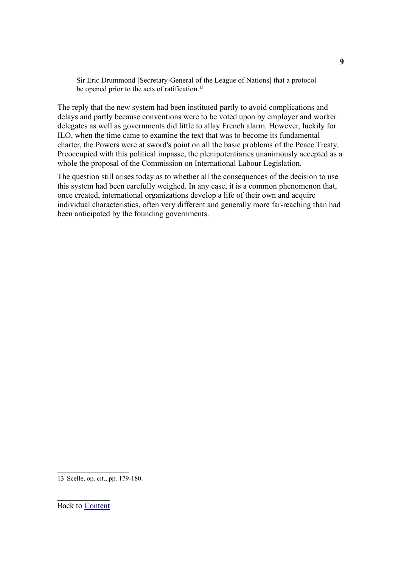Sir Eric Drummond [Secretary-General of the League of Nations] that a protocol be opened prior to the acts of ratification.<sup>[13](#page-8-0)</sup>

The reply that the new system had been instituted partly to avoid complications and delays and partly because conventions were to be voted upon by employer and worker delegates as well as governments did little to allay French alarm. However, luckily for ILO, when the time came to examine the text that was to become its fundamental charter, the Powers were at sword's point on all the basic problems of the Peace Treaty. Preoccupied with this political impasse, the plenipotentiaries unanimously accepted as a whole the proposal of the Commission on International Labour Legislation.

The question still arises today as to whether all the consequences of the decision to use this system had been carefully weighed. In any case, it is a common phenomenon that, once created, international organizations develop a life of their own and acquire individual characteristics, often very different and generally more far-reaching than had been anticipated by the founding governments.

<span id="page-8-0"></span>13 Scelle, op. cit., pp. 179-180.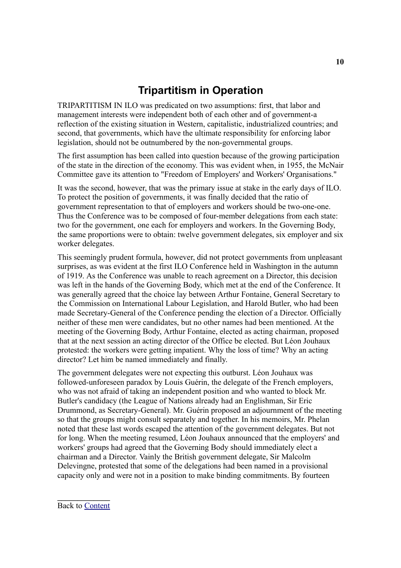### <span id="page-9-0"></span>**Tripartitism in Operation**

TRIPARTITISM IN ILO was predicated on two assumptions: first, that labor and management interests were independent both of each other and of government-a reflection of the existing situation in Western, capitalistic, industrialized countries; and second, that governments, which have the ultimate responsibility for enforcing labor legislation, should not be outnumbered by the non-governmental groups.

The first assumption has been called into question because of the growing participation of the state in the direction of the economy. This was evident when, in 1955, the McNair Committee gave its attention to "Freedom of Employers' and Workers' Organisations."

It was the second, however, that was the primary issue at stake in the early days of ILO. To protect the position of governments, it was finally decided that the ratio of government representation to that of employers and workers should be two-one-one. Thus the Conference was to be composed of four-member delegations from each state: two for the government, one each for employers and workers. In the Governing Body, the same proportions were to obtain: twelve government delegates, six employer and six worker delegates.

This seemingly prudent formula, however, did not protect governments from unpleasant surprises, as was evident at the first ILO Conference held in Washington in the autumn of 1919. As the Conference was unable to reach agreement on a Director, this decision was left in the hands of the Governing Body, which met at the end of the Conference. It was generally agreed that the choice lay between Arthur Fontaine, General Secretary to the Commission on International Labour Legislation, and Harold Butler, who had been made Secretary-General of the Conference pending the election of a Director. Officially neither of these men were candidates, but no other names had been mentioned. At the meeting of the Governing Body, Arthur Fontaine, elected as acting chairman, proposed that at the next session an acting director of the Office be elected. But Léon Jouhaux protested: the workers were getting impatient. Why the loss of time? Why an acting director? Let him be named immediately and finally.

The government delegates were not expecting this outburst. Léon Jouhaux was followed-unforeseen paradox by Louis Guérin, the delegate of the French employers, who was not afraid of taking an independent position and who wanted to block Mr. Butler's candidacy (the League of Nations already had an Englishman, Sir Eric Drummond, as Secretary-General). Mr. Guérin proposed an adjournment of the meeting so that the groups might consult separately and together. In his memoirs, Mr. Phelan noted that these last words escaped the attention of the government delegates. But not for long. When the meeting resumed, Léon Jouhaux announced that the employers' and workers' groups had agreed that the Governing Body should immediately elect a chairman and a Director. Vainly the British government delegate, Sir Malcolm Delevingne, protested that some of the delegations had been named in a provisional capacity only and were not in a position to make binding commitments. By fourteen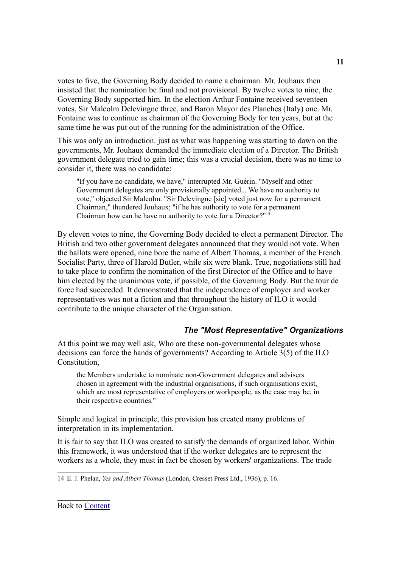votes to five, the Governing Body decided to name a chairman. Mr. Jouhaux then insisted that the nomination be final and not provisional. By twelve votes to nine, the Governing Body supported him. In the election Arthur Fontaine received seventeen votes, Sir Malcolm Delevingne three, and Baron Mayor des Planches (Italy) one. Mr. Fontaine was to continue as chairman of the Governing Body for ten years, but at the same time he was put out of the running for the administration of the Office.

This was only an introduction. just as what was happening was starting to dawn on the governments, Mr. Jouhaux demanded the immediate election of a Director. The British government delegate tried to gain time; this was a crucial decision, there was no time to consider it, there was no candidate:

"If you have no candidate, we have," interrupted Mr. Guérin. "Myself and other Government delegates are only provisionally appointed... We have no authority to vote," objected Sir Malcolm. "Sir Delevingne [sic] voted just now for a permanent Chairman," thundered Jouhaux; "if he has authority to vote for a permanent Chairman how can he have no authority to vote for a Director?" [14](#page-10-1)

By eleven votes to nine, the Governing Body decided to elect a permanent Director. The British and two other government delegates announced that they would not vote. When the ballots were opened, nine bore the name of Albert Thomas, a member of the French Socialist Party, three of Harold Butler, while six were blank. True, negotiations still had to take place to confirm the nomination of the first Director of the Office and to have him elected by the unanimous vote, if possible, of the Governing Body. But the tour de force had succeeded. It demonstrated that the independence of employer and worker representatives was not a fiction and that throughout the history of ILO it would contribute to the unique character of the Organisation.

### <span id="page-10-0"></span>*The "Most Representative" Organizations*

At this point we may well ask, Who are these non-governmental delegates whose decisions can force the hands of governments? According to Article 3(5) of the ILO Constitution,

the Members undertake to nominate non-Government delegates and advisers chosen in agreement with the industrial organisations, if such organisations exist, which are most representative of employers or workpeople, as the case may be, in their respective countries."

Simple and logical in principle, this provision has created many problems of interpretation in its implementation.

It is fair to say that ILO was created to satisfy the demands of organized labor. Within this framework, it was understood that if the worker delegates are to represent the workers as a whole, they must in fact be chosen by workers' organizations. The trade

<span id="page-10-1"></span>14 E. J. Phelan, *Yes and Albert Thomas* (London, Cresset Press Ltd., 1936), p. 16.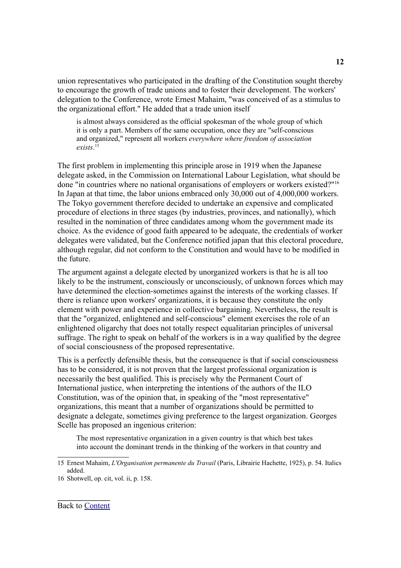union representatives who participated in the drafting of the Constitution sought thereby to encourage the growth of trade unions and to foster their development. The workers' delegation to the Conference, wrote Ernest Mahaim, "was conceived of as a stimulus to the organizational effort." He added that a trade union itself

is almost always considered as the official spokesman of the whole group of which it is only a part. Members of the same occupation, once they are "self-conscious and organized," represent all workers *everywhere where freedom of association exists*. [15](#page-11-0)

The first problem in implementing this principle arose in 1919 when the Japanese delegate asked, in the Commission on International Labour Legislation, what should be done "in countries where no national organisations of employers or workers existed?"<sup>[16](#page-11-1)</sup> In Japan at that time, the labor unions embraced only 30,000 out of 4,000,000 workers. The Tokyo government therefore decided to undertake an expensive and complicated procedure of elections in three stages (by industries, provinces, and nationally), which resulted in the nomination of three candidates among whom the government made its choice. As the evidence of good faith appeared to be adequate, the credentials of worker delegates were validated, but the Conference notified japan that this electoral procedure, although regular, did not conform to the Constitution and would have to be modified in the future.

The argument against a delegate elected by unorganized workers is that he is all too likely to be the instrument, consciously or unconsciously, of unknown forces which may have determined the election-sometimes against the interests of the working classes. If there is reliance upon workers' organizations, it is because they constitute the only element with power and experience in collective bargaining. Nevertheless, the result is that the "organized, enlightened and self-conscious" element exercises the role of an enlightened oligarchy that does not totally respect equalitarian principles of universal suffrage. The right to speak on behalf of the workers is in a way qualified by the degree of social consciousness of the proposed representative.

This is a perfectly defensible thesis, but the consequence is that if social consciousness has to be considered, it is not proven that the largest professional organization is necessarily the best qualified. This is precisely why the Permanent Court of International justice, when interpreting the intentions of the authors of the ILO Constitution, was of the opinion that, in speaking of the "most representative" organizations, this meant that a number of organizations should be permitted to designate a delegate, sometimes giving preference to the largest organization. Georges Scelle has proposed an ingenious criterion:

The most representative organization in a given country is that which best takes into account the dominant trends in the thinking of the workers in that country and

<span id="page-11-0"></span><sup>15</sup> Ernest Mahaim, *L'Organisation permanente du Travail* (Paris, Librairie Hachette, 1925), p. 54. Italics added.

<span id="page-11-1"></span><sup>16</sup> Shotwell, op. cit, vol. ii, p. 158.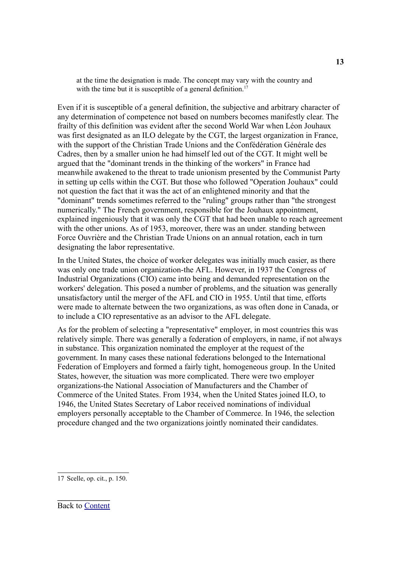at the time the designation is made. The concept may vary with the country and with the time but it is susceptible of a general definition.<sup>[17](#page-12-0)</sup>

Even if it is susceptible of a general definition, the subjective and arbitrary character of any determination of competence not based on numbers becomes manifestly clear. The frailty of this definition was evident after the second World War when Léon Jouhaux was first designated as an ILO delegate by the CGT, the largest organization in France, with the support of the Christian Trade Unions and the Confédération Générale des Cadres, then by a smaller union he had himself led out of the CGT. It might well be argued that the "dominant trends in the thinking of the workers" in France had meanwhile awakened to the threat to trade unionism presented by the Communist Party in setting up cells within the CGT. But those who followed "Operation Jouhaux" could not question the fact that it was the act of an enlightened minority and that the "dominant" trends sometimes referred to the "ruling" groups rather than "the strongest numerically." The French government, responsible for the Jouhaux appointment, explained ingeniously that it was only the CGT that had been unable to reach agreement with the other unions. As of 1953, moreover, there was an under, standing between Force Ouvrière and the Christian Trade Unions on an annual rotation, each in turn designating the labor representative.

In the United States, the choice of worker delegates was initially much easier, as there was only one trade union organization-the AFL. However, in 1937 the Congress of Industrial Organizations (CIO) came into being and demanded representation on the workers' delegation. This posed a number of problems, and the situation was generally unsatisfactory until the merger of the AFL and CIO in 1955. Until that time, efforts were made to alternate between the two organizations, as was often done in Canada, or to include a CIO representative as an advisor to the AFL delegate.

As for the problem of selecting a "representative" employer, in most countries this was relatively simple. There was generally a federation of employers, in name, if not always in substance. This organization nominated the employer at the request of the government. In many cases these national federations belonged to the International Federation of Employers and formed a fairly tight, homogeneous group. In the United States, however, the situation was more complicated. There were two employer organizations-the National Association of Manufacturers and the Chamber of Commerce of the United States. From 1934, when the United States joined ILO, to 1946, the United States Secretary of Labor received nominations of individual employers personally acceptable to the Chamber of Commerce. In 1946, the selection procedure changed and the two organizations jointly nominated their candidates.

<span id="page-12-0"></span>17 Scelle, op. cit., p. 150.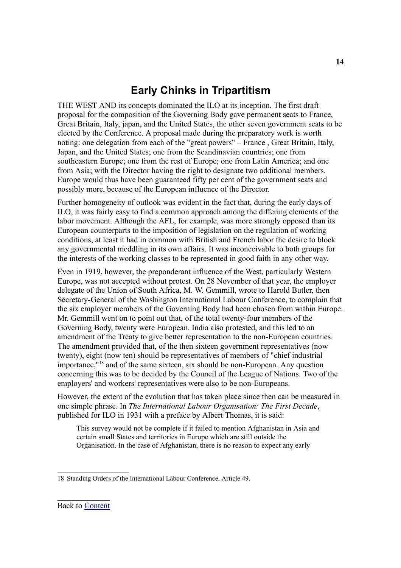### <span id="page-13-0"></span>**Early Chinks in Tripartitism**

THE WEST AND its concepts dominated the ILO at its inception. The first draft proposal for the composition of the Governing Body gave permanent seats to France, Great Britain, Italy, japan, and the United States, the other seven government seats to be elected by the Conference. A proposal made during the preparatory work is worth noting: one delegation from each of the "great powers" – France , Great Britain, Italy, Japan, and the United States; one from the Scandinavian countries; one from southeastern Europe; one from the rest of Europe; one from Latin America; and one from Asia; with the Director having the right to designate two additional members. Europe would thus have been guaranteed fifty per cent of the government seats and possibly more, because of the European influence of the Director.

Further homogeneity of outlook was evident in the fact that, during the early days of ILO, it was fairly easy to find a common approach among the differing elements of the labor movement. Although the AFL, for example, was more strongly opposed than its European counterparts to the imposition of legislation on the regulation of working conditions, at least it had in common with British and French labor the desire to block any governmental meddling in its own affairs. It was inconceivable to both groups for the interests of the working classes to be represented in good faith in any other way.

Even in 1919, however, the preponderant influence of the West, particularly Western Europe, was not accepted without protest. On 28 November of that year, the employer delegate of the Union of South Africa, M. W. Gemmill, wrote to Harold Butler, then Secretary-General of the Washington International Labour Conference, to complain that the six employer members of the Governing Body had been chosen from within Europe. Mr. Gemmill went on to point out that, of the total twenty-four members of the Governing Body, twenty were European. India also protested, and this led to an amendment of the Treaty to give better representation to the non-European countries. The amendment provided that, of the then sixteen government representatives (now twenty), eight (now ten) should be representatives of members of "chief industrial importance," [18](#page-13-1) and of the same sixteen, six should be non-European. Any question concerning this was to be decided by the Council of the League of Nations. Two of the employers' and workers' representatives were also to be non-Europeans.

However, the extent of the evolution that has taken place since then can be measured in one simple phrase. In *The International Labour Organisation: The First Decade*, published for ILO in 1931 with a preface by Albert Thomas, it is said:

This survey would not be complete if it failed to mention Afghanistan in Asia and certain small States and territories in Europe which are still outside the Organisation. In the case of Afghanistan, there is no reason to expect any early

<span id="page-13-1"></span><sup>18</sup> Standing Orders of the International Labour Conference, Article 49.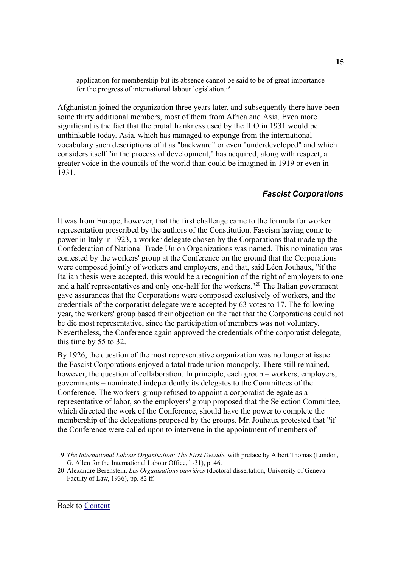application for membership but its absence cannot be said to be of great importance for the progress of international labour legislation.<sup>[19](#page-14-1)</sup>

Afghanistan joined the organization three years later, and subsequently there have been some thirty additional members, most of them from Africa and Asia. Even more significant is the fact that the brutal frankness used by the ILO in 1931 would be unthinkable today. Asia, which has managed to expunge from the international vocabulary such descriptions of it as "backward" or even "underdeveloped" and which considers itself "in the process of development," has acquired, along with respect, a greater voice in the councils of the world than could be imagined in 1919 or even in 1931.

### <span id="page-14-0"></span>*Fascist Corporations*

It was from Europe, however, that the first challenge came to the formula for worker representation prescribed by the authors of the Constitution. Fascism having come to power in Italy in 1923, a worker delegate chosen by the Corporations that made up the Confederation of National Trade Union Organizations was named. This nomination was contested by the workers' group at the Conference on the ground that the Corporations were composed jointly of workers and employers, and that, said Léon Jouhaux, "if the Italian thesis were accepted, this would be a recognition of the right of employers to one and a half representatives and only one-half for the workers." [20](#page-14-2) The Italian government gave assurances that the Corporations were composed exclusively of workers, and the credentials of the corporatist delegate were accepted by 63 votes to 17. The following year, the workers' group based their objection on the fact that the Corporations could not be die most representative, since the participation of members was not voluntary. Nevertheless, the Conference again approved the credentials of the corporatist delegate, this time by 55 to 32.

By 1926, the question of the most representative organization was no longer at issue: the Fascist Corporations enjoyed a total trade union monopoly. There still remained, however, the question of collaboration. In principle, each group – workers, employers, governments – nominated independently its delegates to the Committees of the Conference. The workers' group refused to appoint a corporatist delegate as a representative of labor, so the employers' group proposed that the Selection Committee, which directed the work of the Conference, should have the power to complete the membership of the delegations proposed by the groups. Mr. Jouhaux protested that "if the Conference were called upon to intervene in the appointment of members of

<span id="page-14-1"></span><sup>19</sup> *The International Labour Organisation: The First Decade*, with preface by Albert Thomas (London, G. Allen for the International Labour Office, l~31), p. 46.

<span id="page-14-2"></span><sup>20</sup> Alexandre Berenstein, *Les Organisations ouvrières* (doctoral dissertation, University of Geneva Faculty of Law, 1936), pp. 82 ff.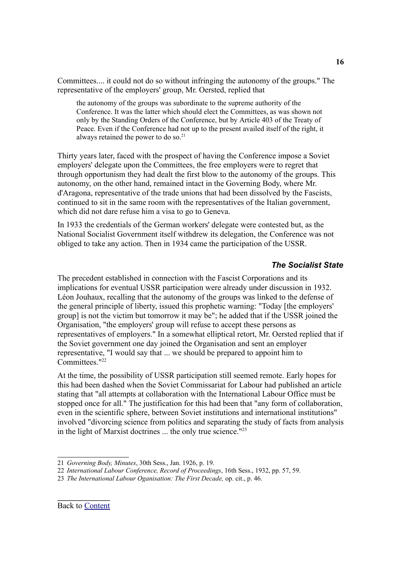Committees.... it could not do so without infringing the autonomy of the groups." The representative of the employers' group, Mr. Oersted, replied that

the autonomy of the groups was subordinate to the supreme authority of the Conference. It was the latter which should elect the Committees, as was shown not only by the Standing Orders of the Conference, but by Article 403 of the Treaty of Peace. Even if the Conference had not up to the present availed itself of the right, it always retained the power to do so. [21](#page-15-1)

Thirty years later, faced with the prospect of having the Conference impose a Soviet employers' delegate upon the Committees, the free employers were to regret that through opportunism they had dealt the first blow to the autonomy of the groups. This autonomy, on the other hand, remained intact in the Governing Body, where Mr. d'Aragona, representative of the trade unions that had been dissolved by the Fascists, continued to sit in the same room with the representatives of the Italian government, which did not dare refuse him a visa to go to Geneva.

In 1933 the credentials of the German workers' delegate were contested but, as the National Socialist Government itself withdrew its delegation, the Conference was not obliged to take any action. Then in 1934 came the participation of the USSR.

### <span id="page-15-0"></span>*The Socialist State*

The precedent established in connection with the Fascist Corporations and its implications for eventual USSR participation were already under discussion in 1932. Léon Jouhaux, recalling that the autonomy of the groups was linked to the defense of the general principle of liberty, issued this prophetic warning: "Today [the employers' group] is not the victim but tomorrow it may be"; he added that if the USSR joined the Organisation, "the employers' group will refuse to accept these persons as representatives of employers." In a somewhat elliptical retort, Mr. Oersted replied that if the Soviet government one day joined the Organisation and sent an employer representative, "I would say that ... we should be prepared to appoint him to Committees." [22](#page-15-2)

At the time, the possibility of USSR participation still seemed remote. Early hopes for this had been dashed when the Soviet Commissariat for Labour had published an article stating that "all attempts at collaboration with the International Labour Office must be stopped once for all." The justification for this had been that "any form of collaboration, even in the scientific sphere, between Soviet institutions and international institutions" involved "divorcing science from politics and separating the study of facts from analysis in the light of Marxist doctrines ... the only true science." [23](#page-15-3)

<span id="page-15-1"></span><sup>21</sup> *Governing Body, Minutes*, 30th Sess., Jan. 1926, p. 19.

<span id="page-15-2"></span><sup>22</sup> *International Labour Conference, Record of Proceedings*, 16th Sess., 1932, pp. 57, 59.

<span id="page-15-3"></span><sup>23</sup> *The International Labour Oganisation: The First Decade,* op. cit., p. 46.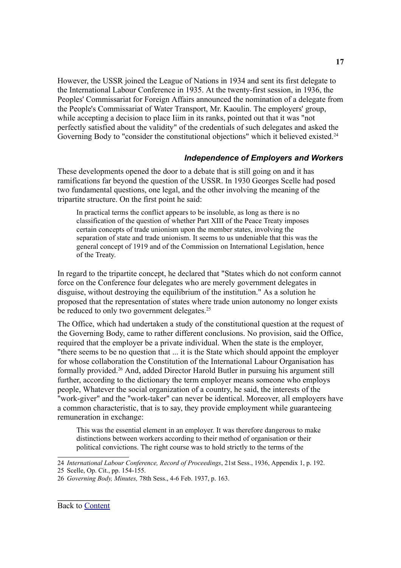However, the USSR joined the League of Nations in 1934 and sent its first delegate to the International Labour Conference in 1935. At the twenty-first session, in 1936, the Peoples' Commissariat for Foreign Affairs announced the nomination of a delegate from the People's Commissariat of Water Transport, Mr. Kaoulin. The employers' group, while accepting a decision to place Iiim in its ranks, pointed out that it was "not perfectly satisfied about the validity" of the credentials of such delegates and asked the Governing Body to "consider the constitutional objections" which it believed existed.<sup>[24](#page-16-1)</sup>

#### <span id="page-16-0"></span>*Independence of Employers and Workers*

These developments opened the door to a debate that is still going on and it has ramifications far beyond the question of the USSR. In 1930 Georges Scelle had posed two fundamental questions, one legal, and the other involving the meaning of the tripartite structure. On the first point he said:

In practical terms the conflict appears to be insoluble, as long as there is no classification of the question of whether Part XIII of the Peace Treaty imposes certain concepts of trade unionism upon the member states, involving the separation of state and trade unionism. It seems to us undeniable that this was the general concept of 1919 and of the Commission on International Legislation, hence of the Treaty.

In regard to the tripartite concept, he declared that "States which do not conform cannot force on the Conference four delegates who are merely government delegates in disguise, without destroying the equilibrium of the institution." As a solution he proposed that the representation of states where trade union autonomy no longer exists be reduced to only two government delegates.<sup>[25](#page-16-2)</sup>

The Office, which had undertaken a study of the constitutional question at the request of the Governing Body, came to rather different conclusions. No provision, said the Office, required that the employer be a private individual. When the state is the employer, "there seems to be no question that ... it is the State which should appoint the employer for whose collaboration the Constitution of the International Labour Organisation has formally provided. [26](#page-16-3) And, added Director Harold Butler in pursuing his argument still further, according to the dictionary the term employer means someone who employs people, Whatever the social organization of a country, he said, the interests of the "work-giver" and the "work-taker" can never be identical. Moreover, all employers have a common characteristic, that is to say, they provide employment while guaranteeing remuneration in exchange:

This was the essential element in an employer. It was therefore dangerous to make distinctions between workers according to their method of organisation or their political convictions. The right course was to hold strictly to the terms of the

<span id="page-16-1"></span><sup>24</sup> *International Labour Conference, Record of Proceedings*, 21st Sess., 1936, Appendix 1, p. 192.

<span id="page-16-2"></span><sup>25</sup> Scelle, Op. Cit., pp. 154-155.

<span id="page-16-3"></span><sup>26</sup> *Governing Body, Minutes,* 78th Sess., 4-6 Feb. 1937, p. 163.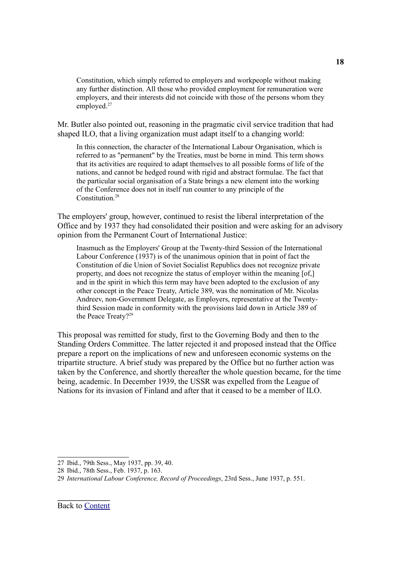Constitution, which simply referred to employers and workpeople without making any further distinction. All those who provided employment for remuneration were employers, and their interests did not coincide with those of the persons whom they employed. [27](#page-17-0)

Mr. Butler also pointed out, reasoning in the pragmatic civil service tradition that had shaped ILO, that a living organization must adapt itself to a changing world:

In this connection, the character of the International Labour Organisation, which is referred to as "permanent" by the Treaties, must be borne in mind. This term shows that its activities are required to adapt themselves to all possible forms of life of the nations, and cannot be hedged round with rigid and abstract formulae. The fact that the particular social organisation of a State brings a new element into the working of the Conference does not in itself run counter to any principle of the Constitution. [28](#page-17-1)

The employers' group, however, continued to resist the liberal interpretation of the Office and by 1937 they had consolidated their position and were asking for an advisory opinion from the Permanent Court of International Justice:

Inasmuch as the Employers' Group at the Twenty-third Session of the International Labour Conference (1937) is of the unanimous opinion that in point of fact the Constitution of die Union of Soviet Socialist Republics does not recognize private property, and does not recognize the status of employer within the meaning [of,] and in the spirit in which this term may have been adopted to the exclusion of any other concept in the Peace Treaty, Article 389, was the nomination of Mr. Nicolas Andreev, non-Government Delegate, as Employers, representative at the Twentythird Session made in conformity with the provisions laid down in Article 389 of the Peace Treaty? [29](#page-17-2)

This proposal was remitted for study, first to the Governing Body and then to the Standing Orders Committee. The latter rejected it and proposed instead that the Office prepare a report on the implications of new and unforeseen economic systems on the tripartite structure. A brief study was prepared by the Office but no further action was taken by the Conference, and shortly thereafter the whole question became, for the time being, academic. In December 1939, the USSR was expelled from the League of Nations for its invasion of Finland and after that it ceased to be a member of ILO.

<span id="page-17-0"></span><sup>27</sup> Ibid., 79th Sess., May 1937, pp. 39, 40.

<span id="page-17-1"></span><sup>28</sup> Ibid., 78th Sess., Feb. 1937, p. 163.

<span id="page-17-2"></span><sup>29</sup> *International Labour Conference, Record of Proceedings*, 23rd Sess., June 1937, p. 551.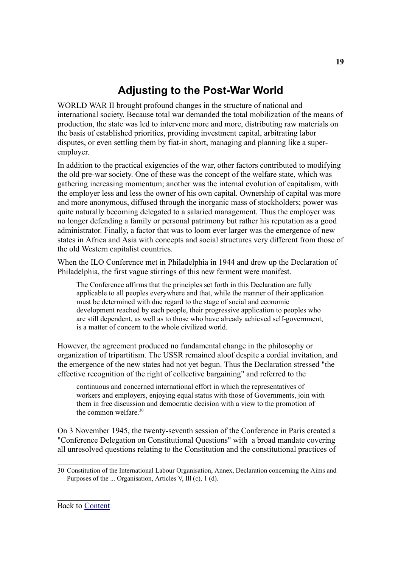# <span id="page-18-0"></span>**Adjusting to the Post-War World**

WORLD WAR II brought profound changes in the structure of national and international society. Because total war demanded the total mobilization of the means of production, the state was led to intervene more and more, distributing raw materials on the basis of established priorities, providing investment capital, arbitrating labor disputes, or even settling them by fiat-in short, managing and planning like a superemployer.

In addition to the practical exigencies of the war, other factors contributed to modifying the old pre-war society. One of these was the concept of the welfare state, which was gathering increasing momentum; another was the internal evolution of capitalism, with the employer less and less the owner of his own capital. Ownership of capital was more and more anonymous, diffused through the inorganic mass of stockholders; power was quite naturally becoming delegated to a salaried management. Thus the employer was no longer defending a family or personal patrimony but rather his reputation as a good administrator. Finally, a factor that was to loom ever larger was the emergence of new states in Africa and Asia with concepts and social structures very different from those of the old Western capitalist countries.

When the ILO Conference met in Philadelphia in 1944 and drew up the Declaration of Philadelphia, the first vague stirrings of this new ferment were manifest.

The Conference affirms that the principles set forth in this Declaration are fully applicable to all peoples everywhere and that, while the manner of their application must be determined with due regard to the stage of social and economic development reached by each people, their progressive application to peoples who are still dependent, as well as to those who have already achieved self-government, is a matter of concern to the whole civilized world.

However, the agreement produced no fundamental change in the philosophy or organization of tripartitism. The USSR remained aloof despite a cordial invitation, and the emergence of the new states had not yet begun. Thus the Declaration stressed "the effective recognition of the right of collective bargaining" and referred to the

continuous and concerned international effort in which the representatives of workers and employers, enjoying equal status with those of Governments, join with them in free discussion and democratic decision with a view to the promotion of the common welfare. [30](#page-18-1)

On 3 November 1945, the twenty-seventh session of the Conference in Paris created a "Conference Delegation on Constitutional Questions" with a broad mandate covering all unresolved questions relating to the Constitution and the constitutional practices of

<span id="page-18-1"></span><sup>30</sup> Constitution of the International Labour Organisation, Annex, Declaration concerning the Aims and Purposes of the ... Organisation, Articles V, Ill (c), 1 (d).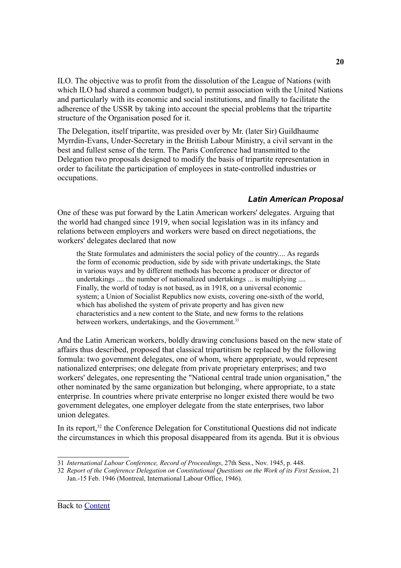ILO. The objective was to profit from the dissolution of the League of Nations (with which ILO had shared a common budget), to permit association with the United Nations and particularly with its economic and social institutions, and finally to facilitate the adherence of the USSR by taking into account the special problems that the tripartite structure of the Organisation posed for it.

The Delegation, itself tripartite, was presided over by Mr. (later Sir) Guildhaume Myrrdin-Evans, Under-Secretary in the British Labour Ministry, a civil servant in the best and fullest sense of the term. The Paris Conference had transmitted to the Delegation two proposals designed to modify the basis of tripartite representation in order to facilitate the participation of employees in state-controlled industries or occupations.

### <span id="page-19-0"></span>*Latin American Proposal*

One of these was put forward by the Latin American workers' delegates. Arguing that the world had changed since 1919, when social legislation was in its infancy and relations between employers and workers were based on direct negotiations, the workers' delegates declared that now

the State formulates and administers the social policy of the country.... As regards the form of economic production, side by side with private undertakings, the State in various ways and by different methods has become a producer or director of undertakings .... the number of nationalized undertakings ... is multiplying .... Finally, the world of today is not based, as in 1918, on a universal economic system; a Union of Socialist Republics now exists, covering one-sixth of the world, which has abolished the system of private property and has given new characteristics and a new content to the State, and new forms to the relations between workers, undertakings, and the Government.<sup>[31](#page-19-1)</sup>

And the Latin American workers, boldly drawing conclusions based on the new state of affairs thus described, proposed that classical tripartitism be replaced by the following formula: two government delegates, one of whom, where appropriate, would represent nationalized enterprises; one delegate from private proprietary enterprises; and two workers' delegates, one representing the "National central trade union organisation," the other nominated by the same organization but belonging, where appropriate, to a state enterprise. In countries where private enterprise no longer existed there would be two government delegates, one employer delegate from the state enterprises, two labor union delegates.

In its report,<sup>[32](#page-19-2)</sup> the Conference Delegation for Constitutional Questions did not indicate the circumstances in which this proposal disappeared from its agenda. But it is obvious

<span id="page-19-1"></span><sup>31</sup> *International Labour Conference, Record of Proceedings*, 27th Sess., Nov. 1945, p. 448.

<span id="page-19-2"></span><sup>32</sup> *Report of the Conference Delegation on Constitutional Questions on the Work of its First Session*, 21 Jan.-15 Feb. 1946 (Montreal, International Labour Office, 1946).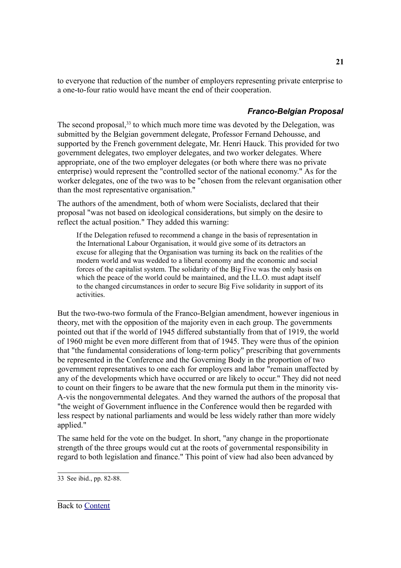to everyone that reduction of the number of employers representing private enterprise to a one-to-four ratio would have meant the end of their cooperation.

### <span id="page-20-0"></span>*Franco-Belgian Proposal*

The second proposal,<sup>[33](#page-20-1)</sup> to which much more time was devoted by the Delegation, was submitted by the Belgian government delegate, Professor Fernand Dehousse, and supported by the French government delegate, Mr. Henri Hauck. This provided for two government delegates, two employer delegates, and two worker delegates. Where appropriate, one of the two employer delegates (or both where there was no private enterprise) would represent the "controlled sector of the national economy." As for the worker delegates, one of the two was to be "chosen from the relevant organisation other than the most representative organisation."

The authors of the amendment, both of whom were Socialists, declared that their proposal "was not based on ideological considerations, but simply on the desire to reflect the actual position." They added this warning:

If the Delegation refused to recommend a change in the basis of representation in the International Labour Organisation, it would give some of its detractors an excuse for alleging that the Organisation was turning its back on the realities of the modern world and was wedded to a liberal economy and the economic and social forces of the capitalist system. The solidarity of the Big Five was the only basis on which the peace of the world could be maintained, and the I.L.O. must adapt itself to the changed circumstances in order to secure Big Five solidarity in support of its activities.

But the two-two-two formula of the Franco-Belgian amendment, however ingenious in theory, met with the opposition of the majority even in each group. The governments pointed out that if the world of 1945 differed substantially from that of 1919, the world of 1960 might be even more different from that of 1945. They were thus of the opinion that "the fundamental considerations of long-term policy" prescribing that governments be represented in the Conference and the Governing Body in the proportion of two government representatives to one each for employers and labor "remain unaffected by any of the developments which have occurred or are likely to occur." They did not need to count on their fingers to be aware that the new formula put them in the minority vis-A-vis the nongovernmental delegates. And they warned the authors of the proposal that "the weight of Government influence in the Conference would then be regarded with less respect by national parliaments and would be less widely rather than more widely applied."

The same held for the vote on the budget. In short, "any change in the proportionate strength of the three groups would cut at the roots of governmental responsibility in regard to both legislation and finance." This point of view had also been advanced by

<span id="page-20-1"></span><sup>33</sup> See ibid., pp. 82-88.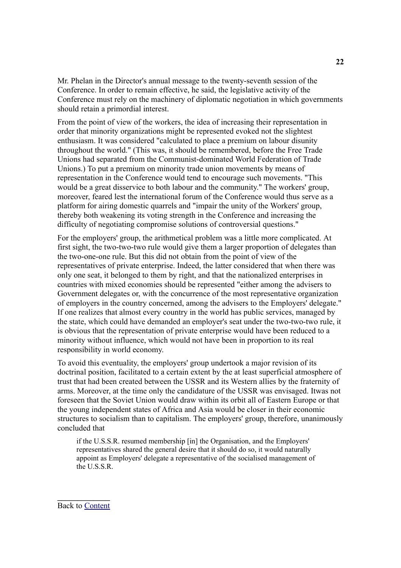Mr. Phelan in the Director's annual message to the twenty-seventh session of the Conference. In order to remain effective, he said, the legislative activity of the Conference must rely on the machinery of diplomatic negotiation in which governments should retain a primordial interest.

From the point of view of the workers, the idea of increasing their representation in order that minority organizations might be represented evoked not the slightest enthusiasm. It was considered "calculated to place a premium on labour disunity throughout the world." (This was, it should be remembered, before the Free Trade Unions had separated from the Communist-dominated World Federation of Trade Unions.) To put a premium on minority trade union movements by means of representation in the Conference would tend to encourage such movements. "This would be a great disservice to both labour and the community." The workers' group, moreover, feared lest the international forum of the Conference would thus serve as a platform for airing domestic quarrels and "impair the unity of the Workers' group, thereby both weakening its voting strength in the Conference and increasing the difficulty of negotiating compromise solutions of controversial questions."

For the employers' group, the arithmetical problem was a little more complicated. At first sight, the two-two-two rule would give them a larger proportion of delegates than the two-one-one rule. But this did not obtain from the point of view of the representatives of private enterprise. Indeed, the latter considered that when there was only one seat, it belonged to them by right, and that the nationalized enterprises in countries with mixed economies should be represented "either among the advisers to Government delegates or, with the concurrence of the most representative organization of employers in the country concerned, among the advisers to the Employers' delegate." If one realizes that almost every country in the world has public services, managed by the state, which could have demanded an employer's seat under the two-two-two rule, it is obvious that the representation of private enterprise would have been reduced to a minority without influence, which would not have been in proportion to its real responsibility in world economy.

To avoid this eventuality, the employers' group undertook a major revision of its doctrinal position, facilitated to a certain extent by the at least superficial atmosphere of trust that had been created between the USSR and its Western allies by the fraternity of arms. Moreover, at the time only the candidature of the USSR was envisaged. Itwas not foreseen that the Soviet Union would draw within its orbit all of Eastern Europe or that the young independent states of Africa and Asia would be closer in their economic structures to socialism than to capitalism. The employers' group, therefore, unanimously concluded that

if the U.S.S.R. resumed membership [in] the Organisation, and the Employers' representatives shared the general desire that it should do so, it would naturally appoint as Employers' delegate a representative of the socialised management of the U.S.S.R.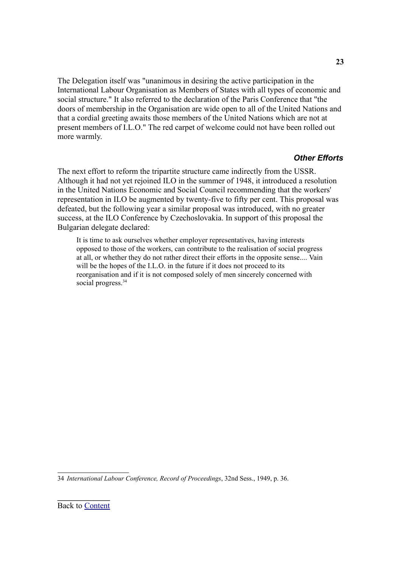The Delegation itself was "unanimous in desiring the active participation in the International Labour Organisation as Members of States with all types of economic and social structure." It also referred to the declaration of the Paris Conference that "the doors of membership in the Organisation are wide open to all of the United Nations and that a cordial greeting awaits those members of the United Nations which are not at present members of I.L.O." The red carpet of welcome could not have been rolled out more warmly.

#### <span id="page-22-0"></span>*Other Efforts*

The next effort to reform the tripartite structure came indirectly from the USSR. Although it had not yet rejoined ILO in the summer of 1948, it introduced a resolution in the United Nations Economic and Social Council recommending that the workers' representation in ILO be augmented by twenty-five to fifty per cent. This proposal was defeated, but the following year a similar proposal was introduced, with no greater success, at the ILO Conference by Czechoslovakia. In support of this proposal the Bulgarian delegate declared:

It is time to ask ourselves whether employer representatives, having interests opposed to those of the workers, can contribute to the realisation of social progress at all, or whether they do not rather direct their efforts in the opposite sense.... Vain will be the hopes of the I.L.O. in the future if it does not proceed to its reorganisation and if it is not composed solely of men sincerely concerned with social progress.<sup>[34](#page-22-1)</sup>

<span id="page-22-1"></span>34 *International Labour Conference, Record of Proceedings*, 32nd Sess., 1949, p. 36.

**23**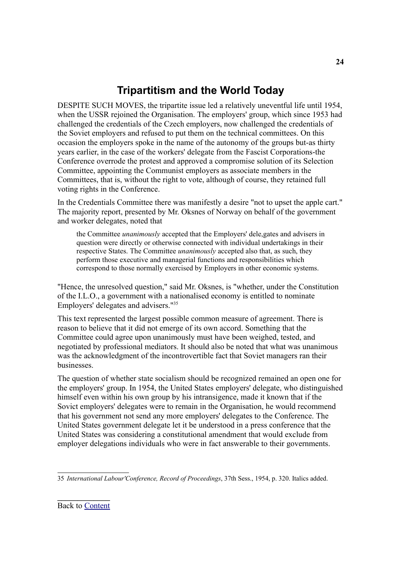# <span id="page-23-0"></span>**Tripartitism and the World Today**

DESPITE SUCH MOVES, the tripartite issue led a relatively uneventful life until 1954, when the USSR rejoined the Organisation. The employers' group, which since 1953 had challenged the credentials of the Czech employers, now challenged the credentials of the Soviet employers and refused to put them on the technical committees. On this occasion the employers spoke in the name of the autonomy of the groups but-as thirty years earlier, in the case of the workers' delegate from the Fascist Corporations-the Conference overrode the protest and approved a compromise solution of its Selection Committee, appointing the Communist employers as associate members in the Committees, that is, without the right to vote, although of course, they retained full voting rights in the Conference.

In the Credentials Committee there was manifestly a desire "not to upset the apple cart." The majority report, presented by Mr. Oksnes of Norway on behalf of the government and worker delegates, noted that

the Committee *unanimously* accepted that the Employers' dele,gates and advisers in question were directly or otherwise connected with individual undertakings in their respective States. The Committee *unanimously* accepted also that, as such, they perform those executive and managerial functions and responsibilities which correspond to those normally exercised by Employers in other economic systems.

"Hence, the unresolved question," said Mr. Oksnes, is "whether, under the Constitution of the I.L.O., a government with a nationalised economy is entitled to nominate Employers' delegates and advisers." [35](#page-23-1)

This text represented the largest possible common measure of agreement. There is reason to believe that it did not emerge of its own accord. Something that the Committee could agree upon unanimously must have been weighed, tested, and negotiated by professional mediators. It should also be noted that what was unanimous was the acknowledgment of the incontrovertible fact that Soviet managers ran their businesses.

The question of whether state socialism should be recognized remained an open one for the employers' group. In 1954, the United States employers' delegate, who distinguished himself even within his own group by his intransigence, made it known that if the Sovict employers' delegates were to remain in the Organisation, he would recommend that his government not send any more employers' delegates to the Conference. The United States government delegate let it be understood in a press conference that the United States was considering a constitutional amendment that would exclude from employer delegations individuals who were in fact answerable to their governments.

<span id="page-23-1"></span><sup>35</sup> *International Labour'Conference, Record of Proceedings*, 37th Sess., 1954, p. 320. Italics added.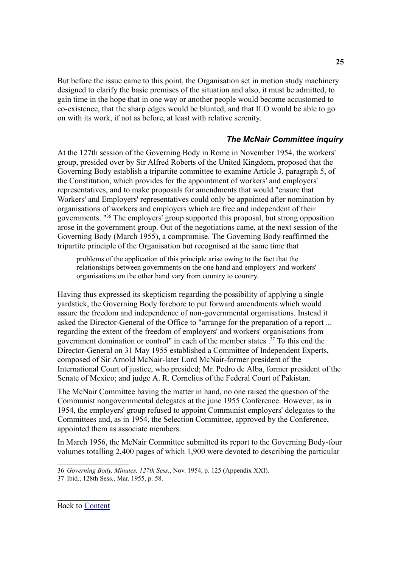But before the issue came to this point, the Organisation set in motion study machinery designed to clarify the basic premises of the situation and also, it must be admitted, to gain time in the hope that in one way or another people would become accustomed to co-existence, that the sharp edges would be blunted, and that ILO would be able to go on with its work, if not as before, at least with relative serenity.

#### <span id="page-24-0"></span>*The McNair Committee inquiry*

At the 127th session of the Governing Body in Rome in November 1954, the workers' group, presided over by Sir Alfred Roberts of the United Kingdom, proposed that the Governing Body establish a tripartite committee to examine Article 3, paragraph 5, of the Constitution, which provides for the appointment of workers' and employers' representatives, and to make proposals for amendments that would "ensure that Workers' and Employers' representatives could only be appointed after nomination by organisations of workers and employers which are free and independent of their governments. " [36](#page-24-1) The employers' group supported this proposal, but strong opposition arose in the government group. Out of the negotiations came, at the next session of the Governing Body (March 1955), a compromise. The Governing Body reaffirmed the tripartite principle of the Organisation but recognised at the same time that

problems of the application of this principle arise owing to the fact that the relationships between governments on the one hand and employers' and workers' organisations on the other hand vary from country to country.

Having thus expressed its skepticism regarding the possibility of applying a single yardstick, the Governing Body forebore to put forward amendments which would assure the freedom and independence of non-governmental organisations. Instead it asked the Director-General of the Office to "arrange for the preparation of a report ... regarding the extent of the freedom of employers' and workers' organisations from government domination or control" in each of the member states . [37](#page-24-2) To this end the Director-General on 31 May 1955 established a Committee of Independent Experts, composed of Sir Arnold McNair-later Lord McNair-former president of the International Court of justice, who presided; Mr. Pedro de Alba, former president of the Senate of Mexico; and judge A. R. Cornelius of the Federal Court of Pakistan.

The McNair Committee having the matter in hand, no one raised the question of the Communist nongovernmental delegates at the june 1955 Conference. However, as in 1954, the employers' group refused to appoint Communist employers' delegates to the Committees and, as in 1954, the Selection Committee, approved by the Conference, appointed them as associate members.

In March 1956, the McNair Committee submitted its report to the Governing Body-four volumes totalling 2,400 pages of which 1,900 were devoted to describing the particular

<span id="page-24-1"></span><sup>36</sup> *Governing Body, Minutes, 127th Sess.*, Nov. 1954, p. 125 (Appendix XXI).

<span id="page-24-2"></span><sup>37</sup> Ibid., 128th Sess., Mar. 1955, p. 58.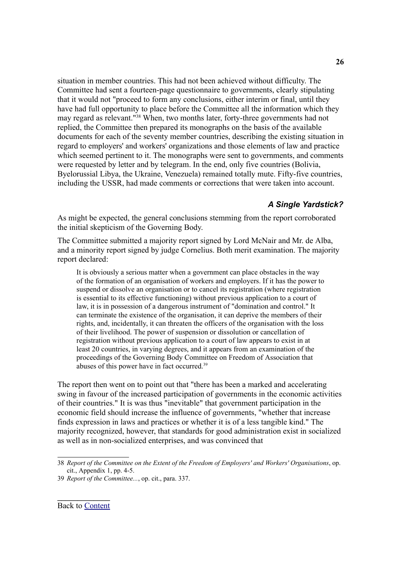situation in member countries. This had not been achieved without difficulty. The Committee had sent a fourteen-page questionnaire to governments, clearly stipulating that it would not "proceed to form any conclusions, either interim or final, until they have had full opportunity to place before the Committee all the information which they may regard as relevant." [38](#page-25-1) When, two months later, forty-three governments had not replied, the Committee then prepared its monographs on the basis of the available documents for each of the seventy member countries, describing the existing situation in regard to employers' and workers' organizations and those elements of law and practice which seemed pertinent to it. The monographs were sent to governments, and comments were requested by letter and by telegram. In the end, only five countries (Bolivia, Byelorussial Libya, the Ukraine, Venezuela) remained totally mute. Fifty-five countries, including the USSR, had made comments or corrections that were taken into account.

### <span id="page-25-0"></span>*A Single Yardstick?*

As might be expected, the general conclusions stemming from the report corroborated the initial skepticism of the Governing Body.

The Committee submitted a majority report signed by Lord McNair and Mr. de Alba, and a minority report signed by judge Cornelius. Both merit examination. The majority report declared:

It is obviously a serious matter when a government can place obstacles in the way of the formation of an organisation of workers and employers. If it has the power to suspend or dissolve an organisation or to cancel its registration (where registration is essential to its effective functioning) without previous application to a court of law, it is in possession of a dangerous instrument of "domination and control." It can terminate the existence of the organisation, it can deprive the members of their rights, and, incidentally, it can threaten the officers of the organisation with the loss of their livelihood. The power of suspension or dissolution or cancellation of registration without previous application to a court of law appears to exist in at least 20 countries, in varying degrees, and it appears from an examination of the proceedings of the Governing Body Committee on Freedom of Association that abuses of this power have in fact occurred.<sup>[39](#page-25-2)</sup>

The report then went on to point out that "there has been a marked and accelerating swing in favour of the increased participation of governments in the economic activities of their countries." It is was thus "inevitable" that government participation in the economic field should increase the influence of governments, "whether that increase finds expression in laws and practices or whether it is of a less tangible kind." The majority recognized, however, that standards for good administration exist in socialized as well as in non-socialized enterprises, and was convinced that

<span id="page-25-1"></span><sup>38</sup> *Report of the Committee on the Extent of the Freedom of Employers' and Workers' Organisations*, op. cit., Appendix 1, pp. 4-5.

<span id="page-25-2"></span><sup>39</sup> *Report of the Committee...*, op. cit., para. 337.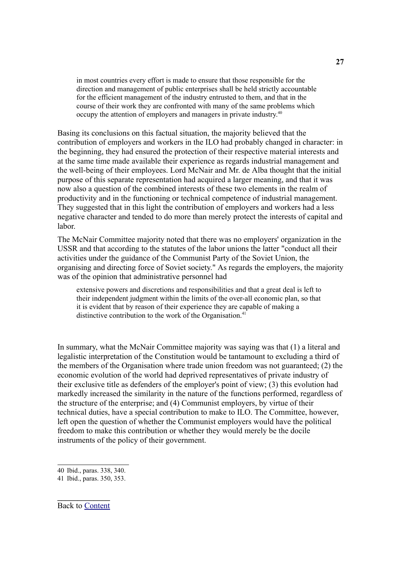in most countries every effort is made to ensure that those responsible for the direction and management of public enterprises shall be held strictly accountable for the efficient management of the industry entrusted to them, and that in the course of their work they are confronted with many of the same problems which occupy the attention of employers and managers in private industry.<sup>[40](#page-26-0)</sup>

Basing its conclusions on this factual situation, the majority believed that the contribution of employers and workers in the ILO had probably changed in character: in the beginning, they had ensured the protection of their respective material interests and at the same time made available their experience as regards industrial management and the well-being of their employees. Lord McNair and Mr. de Alba thought that the initial purpose of this separate representation had acquired a larger meaning, and that it was now also a question of the combined interests of these two elements in the realm of productivity and in the functioning or technical competence of industrial management. They suggested that in this light the contribution of employers and workers had a less negative character and tended to do more than merely protect the interests of capital and labor.

The McNair Committee majority noted that there was no employers' organization in the USSR and that according to the statutes of the labor unions the latter "conduct all their activities under the guidance of the Communist Party of the Soviet Union, the organising and directing force of Soviet society." As regards the employers, the majority was of the opinion that administrative personnel had

extensive powers and discretions and responsibilities and that a great deal is left to their independent judgment within the limits of the over-all economic plan, so that it is evident that by reason of their experience they are capable of making a distinctive contribution to the work of the Organisation.<sup>[41](#page-26-1)</sup>

In summary, what the McNair Committee majority was saying was that (1) a literal and legalistic interpretation of the Constitution would be tantamount to excluding a third of the members of the Organisation where trade union freedom was not guaranteed; (2) the economic evolution of the world had deprived representatives of private industry of their exclusive title as defenders of the employer's point of view; (3) this evolution had markedly increased the similarity in the nature of the functions performed, regardless of the structure of the enterprise; and (4) Communist employers, by virtue of their technical duties, have a special contribution to make to ILO. The Committee, however, left open the question of whether the Communist employers would have the political freedom to make this contribution or whether they would merely be the docile instruments of the policy of their government.

<span id="page-26-0"></span><sup>40</sup> Ibid., paras. 338, 340.

<span id="page-26-1"></span><sup>41</sup> Ibid., paras. 350, 353.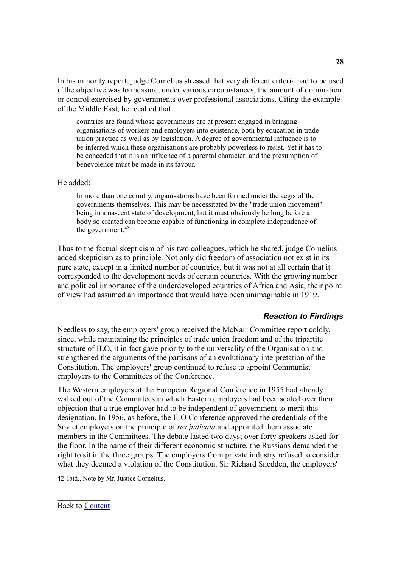In his minority report, judge Cornelius stressed that very different criteria had to be used if the objective was to measure, under various circumstances, the amount of domination or control exercised by governments over professional associations. Citing the example of the Middle East, he recalled that

countries are found whose governments are at present engaged in bringing organisations of workers and employers into existence, both by education in trade union practice as well as by legislation. A degree of governmental influence is to be inferred which these organisations are probably powerless to resist. Yet it has to be conceded that it is an influence of a parental character, and the presumption of benevolence must be made in its favour.

### He added:

In more than one country, organisations have been formed under the aegis of the governments themselves. This may be necessitated by the "trade union movement" being in a nascent state of development, but it must obviously be long before a body so created can become capable of functioning in complete independence of the government. [42](#page-27-1)

Thus to the factual skepticism of his two colleagues, which he shared, judge Cornelius added skepticism as to principle. Not only did freedom of association not exist in its pure state, except in a limited number of countries, but it was not at all certain that it corresponded to the development needs of certain countries. With the growing number and political importance of the underdeveloped countries of Africa and Asia, their point of view had assumed an importance that would have been unimaginable in 1919.

#### <span id="page-27-0"></span>*Reaction to Findings*

Needless to say, the employers' group received the McNair Committee report coldly, since, while maintaining the principles of trade union freedom and of the tripartite structure of ILO, it in fact gave priority to the universality of the Organisation and strengthened the arguments of the partisans of an evolutionary interpretation of the Constitution. The employers' group continued to refuse to appoint Communist employers to the Committees of the Conference.

The Western employers at the European Regional Conference in 1955 had already walked out of the Committees in which Eastern employers had been seated over their objection that a true employer had to be independent of government to merit this designation. In 1956, as before, the ILO Conference approved the credentials of the Soviet employers on the principle of *res judicata* and appointed them associate members in the Committees. The debate lasted two days; over forty speakers asked for the floor. In the name of their different economic structure, the Russians demanded the right to sit in the three groups. The employers from private industry refused to consider what they deemed a violation of the Constitution. Sir Richard Snedden, the employers'

<span id="page-27-1"></span>42 Ibid., Note by Mr. Justice Cornelius.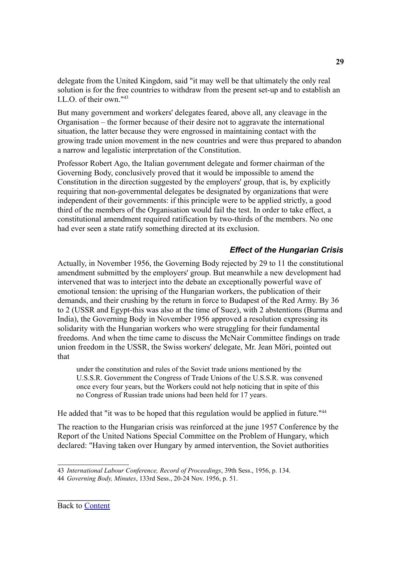delegate from the United Kingdom, said "it may well be that ultimately the only real solution is for the free countries to withdraw from the present set-up and to establish an I.L.O. of their own." [43](#page-28-1)

But many government and workers' delegates feared, above all, any cleavage in the Organisation – the former because of their desire not to aggravate the international situation, the latter because they were engrossed in maintaining contact with the growing trade union movement in the new countries and were thus prepared to abandon a narrow and legalistic interpretation of the Constitution.

Professor Robert Ago, the Italian government delegate and former chairman of the Governing Body, conclusively proved that it would be impossible to amend the Constitution in the direction suggested by the employers' group, that is, by explicitly requiring that non-governmental delegates be designated by organizations that were independent of their governments: if this principle were to be applied strictly, a good third of the members of the Organisation would fail the test. In order to take effect, a constitutional amendment required ratification by two-thirds of the members. No one had ever seen a state ratify something directed at its exclusion.

### <span id="page-28-0"></span>*Effect of the Hungarian Crisis*

Actually, in November 1956, the Governing Body rejected by 29 to 11 the constitutional amendment submitted by the employers' group. But meanwhile a new development had intervened that was to interject into the debate an exceptionally powerful wave of emotional tension: the uprising of the Hungarian workers, the publication of their demands, and their crushing by the return in force to Budapest of the Red Army. By 36 to 2 (USSR and Egypt-this was also at the time of Suez), with 2 abstentions (Burma and India), the Governing Body in November 1956 approved a resolution expressing its solidarity with the Hungarian workers who were struggling for their fundamental freedoms. And when the time came to discuss the McNair Committee findings on trade union freedom in the USSR, the Swiss workers' delegate, Mr. Jean Möri, pointed out that

under the constitution and rules of the Soviet trade unions mentioned by the U.S.S.R. Government the Congress of Trade Unions of the U.S.S.R. was convened once every four years, but the Workers could not help noticing that in spite of this no Congress of Russian trade unions had been held for 17 years.

He added that "it was to be hoped that this regulation would be applied in future."<sup>[44](#page-28-2)</sup>

The reaction to the Hungarian crisis was reinforced at the june 1957 Conference by the Report of the United Nations Special Committee on the Problem of Hungary, which declared: "Having taken over Hungary by armed intervention, the Soviet authorities

<span id="page-28-1"></span><sup>43</sup> *International Labour Conference, Record of Proceedings*, 39th Sess., 1956, p. 134.

<span id="page-28-2"></span><sup>44</sup> *Governing Body, Minutes*, 133rd Sess., 20-24 Nov. 1956, p. 51.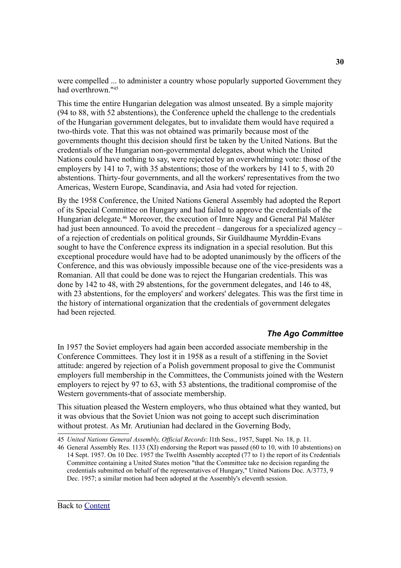were compelled ... to administer a country whose popularly supported Government they had overthrown." [45](#page-29-2)

This time the entire Hungarian delegation was almost unseated. By a simple majority (94 to 88, with 52 abstentions), the Conference upheld the challenge to the credentials of the Hungarian government delegates, but to invalidate them would have required a two-thirds vote. That this was not obtained was primarily because most of the governments thought this decision should first be taken by the United Nations. But the credentials of the Hungarian non-governmental delegates, about which the United Nations could have nothing to say, were rejected by an overwhelming vote: those of the employers by 141 to 7, with 35 abstentions; those of the workers by 141 to 5, with 20 abstentions. Thirty-four governments, and all the workers' representatives from the two Americas, Western Europe, Scandinavia, and Asia had voted for rejection.

By the 1958 Conference, the United Nations General Assembly had adopted the Report of its Special Committee on Hungary and had failed to approve the credentials of the Hungarian delegate. [46](#page-29-3) Moreover, the execution of Imre Nagy and General Pál Maléter had just been announced. To avoid the precedent – dangerous for a specialized agency – of a rejection of credentials on political grounds, Sir Guildhaume Myrddin-Evans sought to have the Conference express its indignation in a special resolution. But this exceptional procedure would have had to be adopted unanimously by the officers of the Conference, and this was obviously impossible because one of the vice-presidents was a Romanian. All that could be done was to reject the Hungarian credentials. This was done by 142 to 48, with 29 abstentions, for the government delegates, and 146 to 48, with 23 abstentions, for the employers' and workers' delegates. This was the first time in the history of international organization that the credentials of government delegates had been rejected.

#### <span id="page-29-1"></span>*The Ago Committee*

In 1957 the Soviet employers had again been accorded associate membership in the Conference Committees. They lost it in 1958 as a result of a stiffening in the Soviet attitude: angered by rejection of a Polish government proposal to give the Communist employers full membership in the Committees, the Communists joined with the Western employers to reject by 97 to 63, with 53 abstentions, the traditional compromise of the Western governments-that of associate membership.

This situation pleased the Western employers, who thus obtained what they wanted, but it was obvious that the Soviet Union was not going to accept such discrimination without protest. As Mr. Arutiunian had declared in the Governing Body,

<span id="page-29-3"></span><span id="page-29-0"></span>46 General Assembly Res. 1133 (XI) endorsing the Report was passed (60 to 10, with 10 abstentions) on 14 Sept. 1957. On 10 Dec. 1957 the Twelfth Assembly accepted (77 to 1) the report of its Credentials Committee containing a United States motion "that the Committee take no decision regarding the credentials submitted on behalf of the representatives of Hungary," United Nations Doc. A/3773, 9 Dec. 1957; a similar motion had been adopted at the Assembly's eleventh session.

<span id="page-29-2"></span><sup>45</sup> *United Nations General Assembly, Official Records*: l1th Sess., 1957, Suppl. No. 18, p. 11.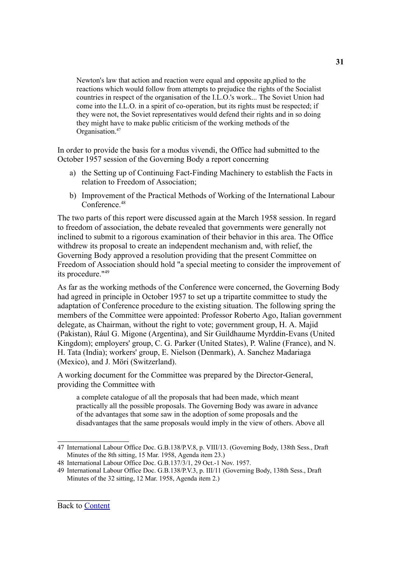Newton's law that action and reaction were equal and opposite ap,plied to the reactions which would follow from attempts to prejudice the rights of the Socialist countries in respect of the organisation of the I.L.O.'s work... The Soviet Union had come into the I.L.O. in a spirit of co-operation, but its rights must be respected; if they were not, the Soviet representatives would defend their rights and in so doing they might have to make public criticism of the working methods of the Organisation. [47](#page-30-0)

In order to provide the basis for a modus vivendi, the Office had submitted to the October 1957 session of the Governing Body a report concerning

- a) the Setting up of Continuing Fact-Finding Machinery to establish the Facts in relation to Freedom of Association;
- b) Improvement of the Practical Methods of Working of the International Labour Conference. [48](#page-30-1)

The two parts of this report were discussed again at the March 1958 session. In regard to freedom of association, the debate revealed that governments were generally not inclined to submit to a rigorous examination of their behavior in this area. The Office withdrew its proposal to create an independent mechanism and, with relief, the Governing Body approved a resolution providing that the present Committee on Freedom of Association should hold "a special meeting to consider the improvement of its procedure." [49](#page-30-2)

As far as the working methods of the Conference were concerned, the Governing Body had agreed in principle in October 1957 to set up a tripartite committee to study the adaptation of Conference procedure to the existing situation. The following spring the members of the Committee were appointed: Professor Roberto Ago, Italian government delegate, as Chairman, without the right to vote; government group, H. A. Majid (Pakistan), Rául G. Migone (Argentina), and Sir Guildhaume Myrddin-Evans (United Kingdom); employers' group, C. G. Parker (United States), P. Waline (France), and N. H. Tata (India); workers' group, E. Nielson (Denmark), A. Sanchez Madariaga (Mexico), and J. Möri (Switzerland).

A working document for the Committee was prepared by the Director-General, providing the Committee with

a complete catalogue of all the proposals that had been made, which meant practically all the possible proposals. The Governing Body was aware in advance of the advantages that some saw in the adoption of some proposals and the disadvantages that the same proposals would imply in the view of others. Above all

<span id="page-30-0"></span><sup>47</sup> International Labour Office Doc. G.B.138/P.V.8, p. VIII/13. (Governing Body, 138th Sess., Draft Minutes of the 8th sitting, 15 Mar. 1958, Agenda item 23.)

<span id="page-30-1"></span><sup>48</sup> International Labour Office Doc. G.B.137/3/1, 29 Oct.-1 Nov. 1957.

<span id="page-30-2"></span><sup>49</sup> International Labour Office Doc. G.B.138/P.V.3, p. III/11 (Governing Body, 138th Sess., Draft Minutes of the 32 sitting, 12 Mar. 1958, Agenda item 2.)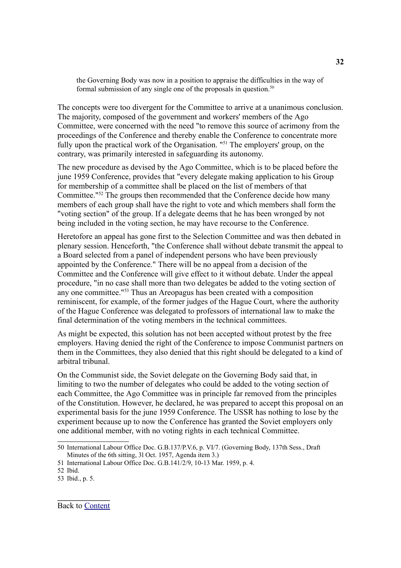the Governing Body was now in a position to appraise the difficulties in the way of formal submission of any single one of the proposals in question.<sup>[50](#page-31-0)</sup>

The concepts were too divergent for the Committee to arrive at a unanimous conclusion. The majority, composed of the government and workers' members of the Ago Committee, were concerned with the need "to remove this source of acrimony from the proceedings of the Conference and thereby enable the Conference to concentrate more fully upon the practical work of the Organisation. "<sup>[51](#page-31-1)</sup> The employers' group, on the contrary, was primarily interested in safeguarding its autonomy.

The new procedure as devised by the Ago Committee, which is to be placed before the june 1959 Conference, provides that "every delegate making application to his Group for membership of a committee shall be placed on the list of members of that Committee." [52](#page-31-2) The groups then recommended that the Conference decide how many members of each group shall have the right to vote and which members shall form the "voting section" of the group. If a delegate deems that he has been wronged by not being included in the voting section, he may have recourse to the Conference.

Heretofore an appeal has gone first to the Selection Committee and was then debated in plenary session. Henceforth, "the Conference shall without debate transmit the appeal to a Board selected from a panel of independent persons who have been previously appointed by the Conference." There will be no appeal from a decision of the Committee and the Conference will give effect to it without debate. Under the appeal procedure, "in no case shall more than two delegates be added to the voting section of any one committee." [53](#page-31-3) Thus an Areopagus has been created with a composition reminiscent, for example, of the former judges of the Hague Court, where the authority of the Hague Conference was delegated to professors of international law to make the final determination of the voting members in the technical committees.

As might be expected, this solution has not been accepted without protest by the free employers. Having denied the right of the Conference to impose Communist partners on them in the Committees, they also denied that this right should be delegated to a kind of arbitral tribunal.

On the Communist side, the Soviet delegate on the Governing Body said that, in limiting to two the number of delegates who could be added to the voting section of each Committee, the Ago Committee was in principle far removed from the principles of the Constitution. However, he declared, he was prepared to accept this proposal on an experimental basis for the june 1959 Conference. The USSR has nothing to lose by the experiment because up to now the Conference has granted the Soviet employers only one additional member, with no voting rights in each technical Committee.

<span id="page-31-0"></span><sup>50</sup> International Labour Office Doc. G.B.137/P.V.6, p. VI/7. (Governing Body, 137th Sess., Draft Minutes of the 6th sitting, 3l Oct. 1957, Agenda item 3.)

<span id="page-31-1"></span><sup>51</sup> International Labour Office Doc. G.B.141/2/9, 10-13 Mar. 1959, p. 4.

<span id="page-31-2"></span><sup>52</sup> Ibid.

<span id="page-31-3"></span><sup>53</sup> Ibid., p. 5.